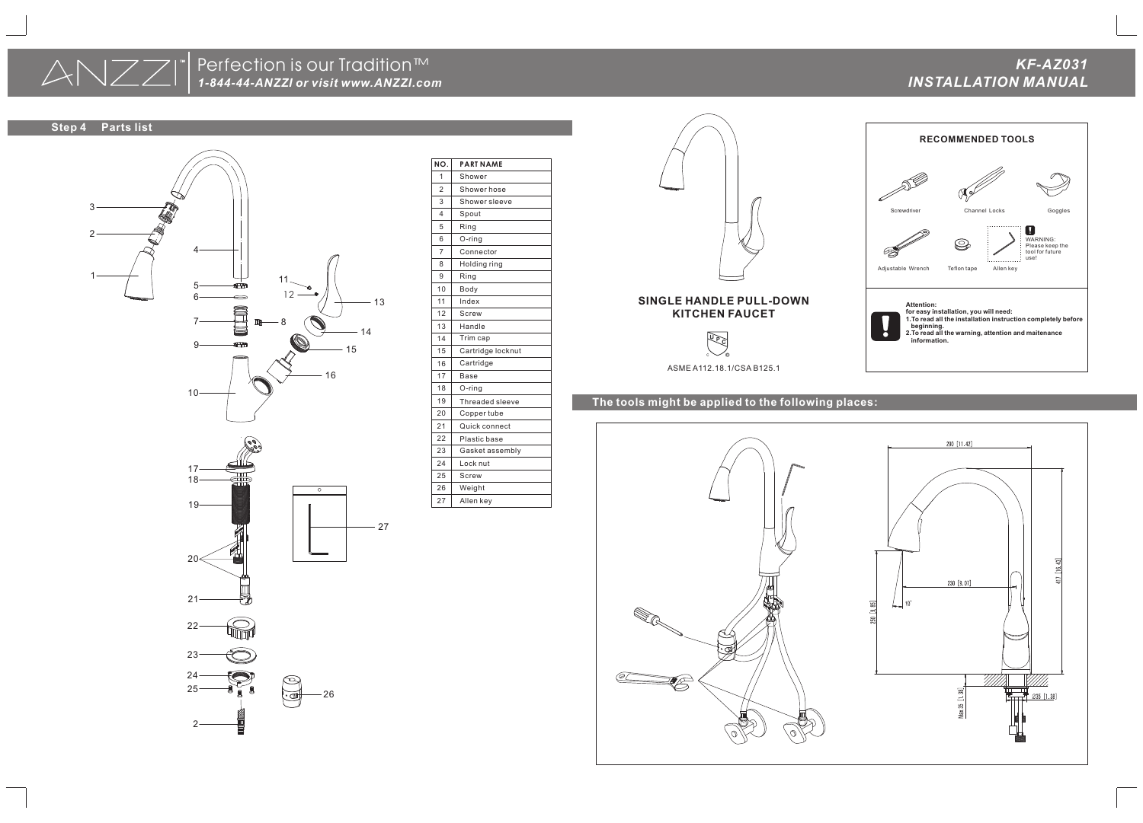## **The tools might be applied to the following places:**





| NO.                     | <b>PART NAME</b>  |
|-------------------------|-------------------|
| 1                       | Shower            |
| 2                       | Shower hose       |
| 3                       | Shower sleeve     |
| $\overline{\mathbf{4}}$ | Spout             |
| 5                       | Ring              |
| 6                       | $O$ -ring         |
| $\overline{7}$          | Connector         |
| 8                       | Holding ring      |
| 9                       | Ring              |
| 10                      | Body              |
| 11                      | Index             |
| 12                      | <b>Screw</b>      |
| 13                      | Handle            |
| 14                      | Trim cap          |
| 15                      | Cartridge locknut |
| 16                      | Cartridge         |
| 17                      | <b>Base</b>       |
| 18                      | O-ring            |
| 19                      | Threaded sleeve   |
| 20                      | Copper tube       |
| 21                      | Quick connect     |
| 22                      | Plastic base      |
| 23                      | Gasket assembly   |
| 24                      | Lock nut          |
| 25                      | Screw             |
| 26                      | Weight            |
| 27                      | Allen key         |





# *1-844-44-ANZZI or visit www.ANZZI.com INSTALLATION MANUAL* Perfection is our Tradition™

ASME A112.18.1/CSA B125.1

## **SINGLE HANDLE PULL-DOWN KITCHEN FAUCET**







*KF-AZ031*

**Step 4 Parts list**